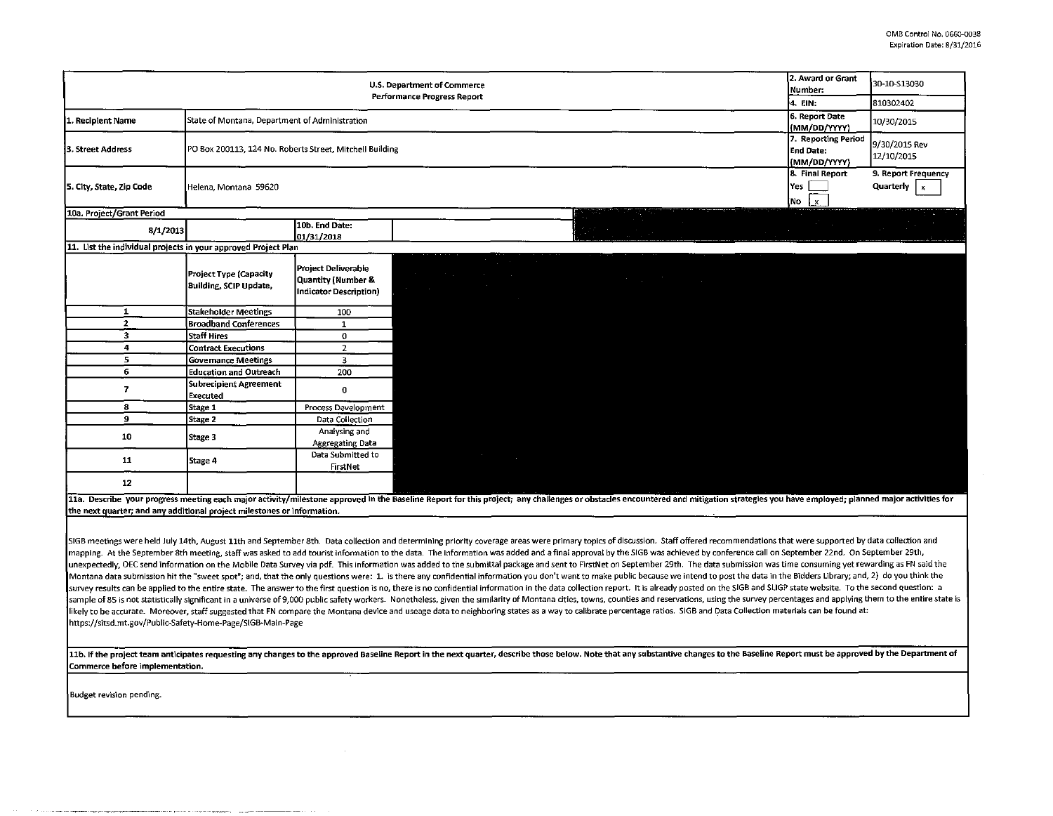| U.S. Department of Commerce                                             |                                                          |                                                                     |                                                                                                                                                                                                                         |                                                                                                                                                                                                                                | 2. Award or Grant<br>Number:   | 30-10-S13030                                                                                                                                                                                                                                                                                                                                                                                                                                                                       |                                          |
|-------------------------------------------------------------------------|----------------------------------------------------------|---------------------------------------------------------------------|-------------------------------------------------------------------------------------------------------------------------------------------------------------------------------------------------------------------------|--------------------------------------------------------------------------------------------------------------------------------------------------------------------------------------------------------------------------------|--------------------------------|------------------------------------------------------------------------------------------------------------------------------------------------------------------------------------------------------------------------------------------------------------------------------------------------------------------------------------------------------------------------------------------------------------------------------------------------------------------------------------|------------------------------------------|
| <b>Performance Progress Report</b>                                      |                                                          |                                                                     |                                                                                                                                                                                                                         |                                                                                                                                                                                                                                |                                | l4. EIN:                                                                                                                                                                                                                                                                                                                                                                                                                                                                           | 810302402                                |
| 1. Recipient Name                                                       | State of Montana, Department of Administration           |                                                                     |                                                                                                                                                                                                                         |                                                                                                                                                                                                                                | 6. Report Date<br>(MM/DD/YYYY) | 10/30/2015                                                                                                                                                                                                                                                                                                                                                                                                                                                                         |                                          |
| 3. Street Address                                                       | PO Box 200113, 124 No. Roberts Street, Mitchell Building |                                                                     |                                                                                                                                                                                                                         |                                                                                                                                                                                                                                |                                | 7. Reporting Period<br>End Date:<br>(MM/DD/YYYY)                                                                                                                                                                                                                                                                                                                                                                                                                                   | 9/30/2015 Rev<br>12/10/2015              |
| 5. City, State, Zip Code                                                | Helena Montana 59620                                     |                                                                     |                                                                                                                                                                                                                         |                                                                                                                                                                                                                                |                                | 8. Final Report<br>Yes  <br>$\begin{array}{ c c c }\n\hline\n\text{No} & \text{Ex} & \text{Ex} & \text{Ex} & \text{Ex} & \text{Ex} & \text{Ex} & \text{Ex} & \text{Ex} & \text{Ex} & \text{Ex} & \text{Ex} & \text{Ex} & \text{Ex} & \text{Ex} & \text{Ex} & \text{Ex} & \text{Ex} & \text{Ex} & \text{Ex} & \text{Ex} & \text{Ex} & \text{Ex} & \text{Ex} & \text{Ex} & \text{Ex} & \text{Ex} & \text{Ex} & \text{Ex} & \text{Ex} & \text{Ex} & \text{Ex} & \text{Ex} & \text{Ex$ | 9. Report Frequency<br>Quarterly<br>∣ x. |
| 10a. Project/Grant Period                                               |                                                          |                                                                     |                                                                                                                                                                                                                         |                                                                                                                                                                                                                                |                                |                                                                                                                                                                                                                                                                                                                                                                                                                                                                                    |                                          |
| 8/1/2013                                                                |                                                          | 10b. End Date:<br>01/31/2018                                        |                                                                                                                                                                                                                         |                                                                                                                                                                                                                                |                                | <u> Alimnus III.</u>                                                                                                                                                                                                                                                                                                                                                                                                                                                               |                                          |
| 11. List the individual projects in your approved Project Plan          |                                                          |                                                                     |                                                                                                                                                                                                                         |                                                                                                                                                                                                                                |                                |                                                                                                                                                                                                                                                                                                                                                                                                                                                                                    |                                          |
|                                                                         | Project Type (Capacity<br><b>Building, SCIP Update,</b>  | Project Deliverable<br>Quantity (Number &<br>Indicator Description) | $\mathcal{O}(\mathcal{O}_\mathcal{A})$ , where $\mathcal{O}(\mathcal{O}_\mathcal{A})$<br>$\mathcal{A}^{\mathcal{A}}$ and $\mathcal{A}^{\mathcal{A}}$ are the properties of the contribution<br>الكسمي ويب<br>$\sim 100$ | <u> 1989 - Johann Stoff, deutscher Stoff</u>                                                                                                                                                                                   |                                |                                                                                                                                                                                                                                                                                                                                                                                                                                                                                    |                                          |
| $\mathbf{1}$                                                            | <b>Stakeholder Meetings</b>                              | 100                                                                 |                                                                                                                                                                                                                         |                                                                                                                                                                                                                                |                                |                                                                                                                                                                                                                                                                                                                                                                                                                                                                                    |                                          |
| $\mathbf{z}$                                                            | <b>Broadband Conferences</b>                             | $\mathbf{1}$                                                        |                                                                                                                                                                                                                         |                                                                                                                                                                                                                                |                                |                                                                                                                                                                                                                                                                                                                                                                                                                                                                                    |                                          |
| 3                                                                       | <b>Staff Hires</b>                                       | $\mathbf 0$                                                         |                                                                                                                                                                                                                         |                                                                                                                                                                                                                                |                                |                                                                                                                                                                                                                                                                                                                                                                                                                                                                                    |                                          |
| 4                                                                       | <b>Contract Executions</b>                               | $\overline{2}$                                                      |                                                                                                                                                                                                                         |                                                                                                                                                                                                                                |                                |                                                                                                                                                                                                                                                                                                                                                                                                                                                                                    |                                          |
| 5                                                                       | <b>Governance Meetings</b>                               | 3                                                                   |                                                                                                                                                                                                                         |                                                                                                                                                                                                                                |                                |                                                                                                                                                                                                                                                                                                                                                                                                                                                                                    |                                          |
| 6                                                                       | <b>Education and Outreach</b>                            | 200                                                                 |                                                                                                                                                                                                                         |                                                                                                                                                                                                                                |                                |                                                                                                                                                                                                                                                                                                                                                                                                                                                                                    |                                          |
| $\overline{ }$                                                          | <b>Subrecipient Agreement</b><br><b>Executed</b>         | $\mathbf 0$                                                         |                                                                                                                                                                                                                         |                                                                                                                                                                                                                                |                                |                                                                                                                                                                                                                                                                                                                                                                                                                                                                                    |                                          |
| 8                                                                       | Stage 1                                                  | Process Development                                                 |                                                                                                                                                                                                                         |                                                                                                                                                                                                                                |                                |                                                                                                                                                                                                                                                                                                                                                                                                                                                                                    |                                          |
| 9                                                                       | Stage 2                                                  | Data Collection                                                     |                                                                                                                                                                                                                         |                                                                                                                                                                                                                                |                                |                                                                                                                                                                                                                                                                                                                                                                                                                                                                                    |                                          |
| 10                                                                      | Stage 3                                                  | Analysing and<br><b>Aggregating Data</b>                            |                                                                                                                                                                                                                         |                                                                                                                                                                                                                                |                                |                                                                                                                                                                                                                                                                                                                                                                                                                                                                                    |                                          |
| 11                                                                      | Stage 4                                                  | Data Submitted to<br>FirstNet                                       | موسود المتناس                                                                                                                                                                                                           |                                                                                                                                                                                                                                |                                |                                                                                                                                                                                                                                                                                                                                                                                                                                                                                    |                                          |
| 12                                                                      |                                                          |                                                                     |                                                                                                                                                                                                                         |                                                                                                                                                                                                                                |                                |                                                                                                                                                                                                                                                                                                                                                                                                                                                                                    |                                          |
| the next quarter; and any additional project milestones or information. |                                                          |                                                                     |                                                                                                                                                                                                                         | 11a. Describe your progress meeting each major activity/milestone approved in the Baseline Report for this project; any challenges or obstacles encountered and mitigation strategies you have employed; planned major activit |                                |                                                                                                                                                                                                                                                                                                                                                                                                                                                                                    |                                          |

SIGB meetings were held July 14th, August 11th and September 8th. Data collection and determining priority coverage areas were primary topics of discussion. Staff offered recommendations that were supported by data collect mapping. At the September 8th meeting, staff was asked to add tourist information to the data. The information was added and a final approval by the SIGB was achieved by conference call on September 20th, On September 29th unexpectedly, OEC send information on the Mobile Data Survey via pdf. This information was added to the submittal package and sent to FirstNet on September 29th. The data submission was time consuming yet rewarding as FN s Montana data submission hit the "sweet spot"; and, that the only questions were: 1. is there any confidential information you don't want to make public because we intend to post the data in the Bidders Library; and, 2) do survey results can be applied to the entire state. The answer to the first question is no, there is no confidential information in the data collection report. It is already posted on the SIGB and SLIGP state website. To th sample of 85 is not statistically significant in a universe of 9,000 public safety workers. Nonetheless, given the similarity of Montana cities, towns, counties and reservations, using the survey percentages and applying t likely to be accurate. Moreover, staff suggested that FN compare the Montana device and useage data to neighboring states as a way to calibrate percentage ratios. SIGB and Data Collection materials can be found at: https://sitsd.mt.gov/Public-Safety-Home-Page/SIGB-Main-Page

11b. If the project team anticipates requesting any changes to the approved Baseline Report in the next quarter, describe those below. Note that any substantive changes to the Baseline Report must be approved by the Depart Commerce before implementation.

Budget revision pending.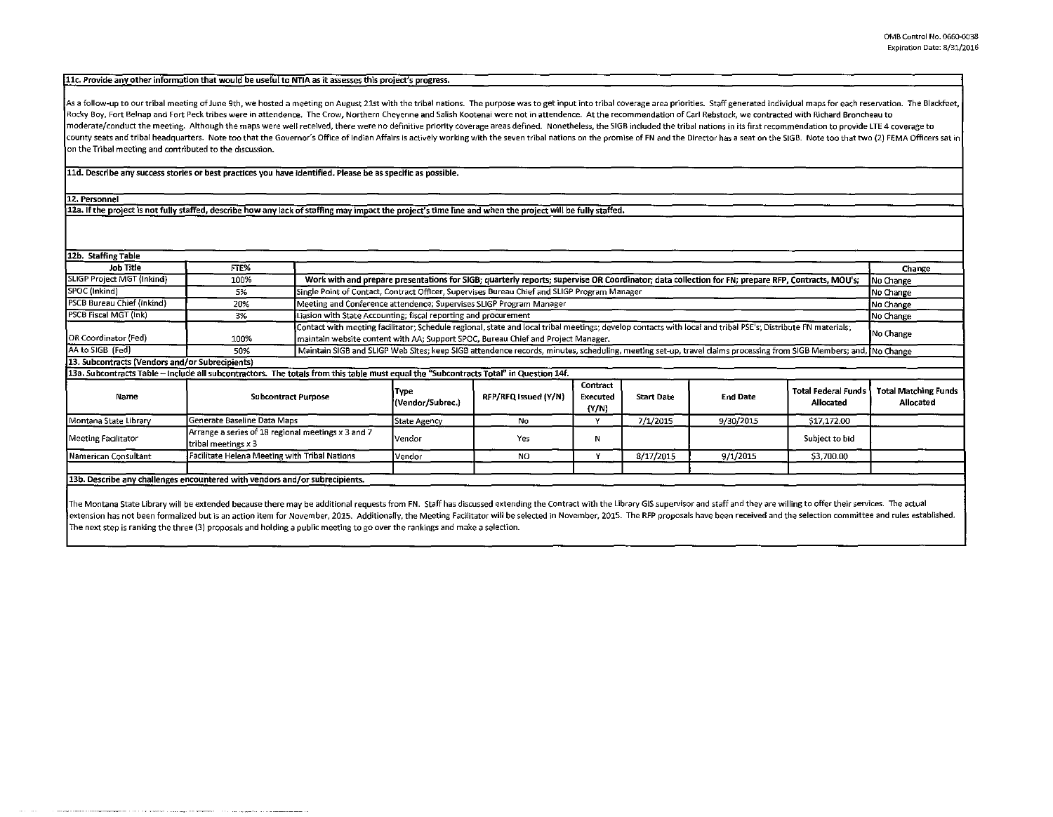## 11c. Provide any other information that would be useful to NTIA as it assesses this project's progress.

As a follow-up to our tribal meeting of June 9th, we hosted a meeting on August 21st with the tribal nations. The purpose was to get input into tribal coverage area priorities. Staff generated individual maps for each rese Rocky Boy, Fort Belnap and Fort Peck tribes were in attendence. The Crow, Northern Cheyenne and Salish Kootenai were not in attendence. At the recommendation of Carl Rebstock, we contracted with Richard Broncheau to moderate/conduct the meeting. Although the maps were well received, there were no definitive priority coverage areas defined. Nonetheless, the SIGB included the tribal nations in its first recommendation to provide LTE 4 c county seats and tribal headquarters. Note too that the Governor's Office of Indian Affairs is actively working with the seven tribal nations on the promise of FN and the Director has a seat on the SIGB. Note too that two on the Tribal meeting and contributed to the discussion.

lld. Describe any success stories or best practices you have identified. Please be as specific as possible.

12. Personnel

12a. If the project is not fully staffed, describe how any lack of staffing may impact the project's time line and when the project will be fully staffed.

| 12b. Staffing Table                                                                                                                   |                                                                           |  |                                                                                                                                                                                                                                                                |                      |                               |                   |                 |                                         |                                          |  |
|---------------------------------------------------------------------------------------------------------------------------------------|---------------------------------------------------------------------------|--|----------------------------------------------------------------------------------------------------------------------------------------------------------------------------------------------------------------------------------------------------------------|----------------------|-------------------------------|-------------------|-----------------|-----------------------------------------|------------------------------------------|--|
| Job Title                                                                                                                             | FTE%                                                                      |  |                                                                                                                                                                                                                                                                |                      |                               |                   |                 |                                         | Change                                   |  |
| SLIGP Project MGT (Inkind)                                                                                                            | 100%                                                                      |  | Work with and prepare presentations for SIGB; quarterly reports; supervise OR Coordinator; data collection for FN; prepare RFP, Contracts, MOU's;<br>No Change                                                                                                 |                      |                               |                   |                 |                                         |                                          |  |
| SPOC (Inkind)                                                                                                                         | 5%                                                                        |  | Single Point of Contact, Contract Officer, Supervises Bureau Chief and SLIGP Program Manager<br>No Change                                                                                                                                                      |                      |                               |                   |                 |                                         |                                          |  |
| <b>PSCB Bureau Chief (Inkind)</b>                                                                                                     | 20%                                                                       |  | Meeting and Conference attendence; Supervises SLIGP Program Manager<br>No Change                                                                                                                                                                               |                      |                               |                   |                 |                                         |                                          |  |
| PSCB Fiscal MGT (Ink)                                                                                                                 | 3%                                                                        |  | Liasion with State Accounting; fiscal reporting and procurement<br>No Change                                                                                                                                                                                   |                      |                               |                   |                 |                                         |                                          |  |
| OR Coordinator (Fed)                                                                                                                  | 100%                                                                      |  | Contact with meeting facilitator; Schedule regional, state and local tribal meetings; develop contacts with local and tribal PSE's; Distribute FN materials;<br>No Change<br>maintain website content with AA; Support SPOC, Bureau Chief and Project Manager. |                      |                               |                   |                 |                                         |                                          |  |
| AA to SIGB (Fed)                                                                                                                      | 50%                                                                       |  | Maintain SIGB and SLIGP Web Sites; keep SIGB attendence records, minutes, scheduling, meeting set-up, travel claims processing from SIGB Members; and, No Change                                                                                               |                      |                               |                   |                 |                                         |                                          |  |
| 13. Subcontracts (Vendors and/or Subrecipients)                                                                                       |                                                                           |  |                                                                                                                                                                                                                                                                |                      |                               |                   |                 |                                         |                                          |  |
| 13a. Subcontracts Table - include all subcontractors. The totals from this table must equal the "Subcontracts Total" in Question 14f. |                                                                           |  |                                                                                                                                                                                                                                                                |                      |                               |                   |                 |                                         |                                          |  |
| Name                                                                                                                                  | <b>Subcontract Purpose</b>                                                |  | Түре<br>(Vendor/Subrec.)                                                                                                                                                                                                                                       | RFP/RFQ Issued (Y/N) | Contract<br>Executed<br>(Y/N) | <b>Start Date</b> | <b>End Date</b> | <b>Total Federal Funds</b><br>Allocated | <b>Total Matching Funds</b><br>Allocated |  |
| Montana State Library                                                                                                                 | Generate Baseline Data Maps                                               |  | State Agency                                                                                                                                                                                                                                                   | No.                  | Y                             | 7/1/2015          | 9/30/2015       | \$17,172.00                             |                                          |  |
| <b>Meeting Facilitator</b>                                                                                                            | Arrange a series of 18 regional meetings x 3 and 7<br>tribal meetings x 3 |  | Vendor                                                                                                                                                                                                                                                         | Yes                  | N                             |                   |                 | Subject to bid                          |                                          |  |
| Namerican Consultant                                                                                                                  | Facilitate Helena Meeting with Tribal Nations                             |  | l Vendor                                                                                                                                                                                                                                                       | NO.                  |                               | 8/17/2015         | 9/1/2015        | \$3,700.00                              |                                          |  |
| 13b. Describe any challenges encountered with vendors and/or subrecipients.                                                           |                                                                           |  |                                                                                                                                                                                                                                                                |                      |                               |                   |                 |                                         |                                          |  |

The Montana State Library will be extended because there may be additional requests from FN. Staff has discussed extending the Contract with the Library GIS supervisor and staff and they are willing to offer their services extension has not been formalized but is an action item for November, 2015. Additionally, the Meeting Facilitator will be selected in November, 2015. The RFP proposals have been received and the selection committee and rul The next step is ranking the three (3) proposals and holding a public meeting to go over the rankings and make a selection.